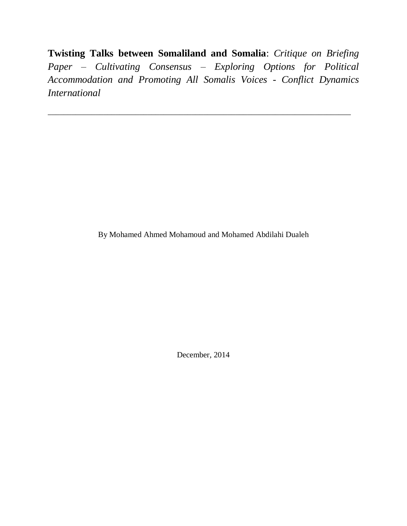**Twisting Talks between Somaliland and Somalia**: *Critique on Briefing Paper – Cultivating Consensus – Exploring Options for Political Accommodation and Promoting All Somalis Voices - Conflict Dynamics International*

\_\_\_\_\_\_\_\_\_\_\_\_\_\_\_\_\_\_\_\_\_\_\_\_\_\_\_\_\_\_\_\_\_\_\_\_\_\_\_\_\_\_\_\_\_\_\_\_\_\_\_\_\_\_\_\_\_\_\_\_\_\_\_\_\_\_\_\_\_\_\_\_\_\_\_\_

By Mohamed Ahmed Mohamoud and Mohamed Abdilahi Dualeh

December, 2014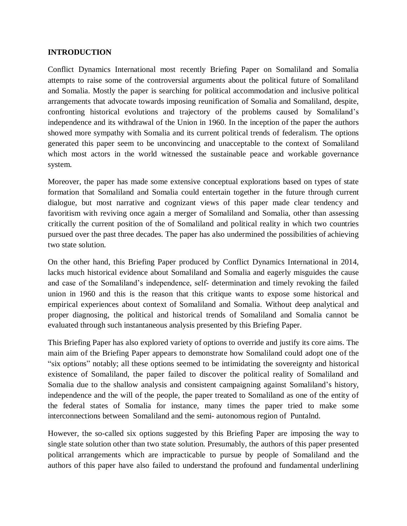#### **INTRODUCTION**

Conflict Dynamics International most recently Briefing Paper on Somaliland and Somalia attempts to raise some of the controversial arguments about the political future of Somaliland and Somalia. Mostly the paper is searching for political accommodation and inclusive political arrangements that advocate towards imposing reunification of Somalia and Somaliland, despite, confronting historical evolutions and trajectory of the problems caused by Somaliland's independence and its withdrawal of the Union in 1960. In the inception of the paper the authors showed more sympathy with Somalia and its current political trends of federalism. The options generated this paper seem to be unconvincing and unacceptable to the context of Somaliland which most actors in the world witnessed the sustainable peace and workable governance system.

Moreover, the paper has made some extensive conceptual explorations based on types of state formation that Somaliland and Somalia could entertain together in the future through current dialogue, but most narrative and cognizant views of this paper made clear tendency and favoritism with reviving once again a merger of Somaliland and Somalia, other than assessing critically the current position of the of Somaliland and political reality in which two countries pursued over the past three decades. The paper has also undermined the possibilities of achieving two state solution.

On the other hand, this Briefing Paper produced by Conflict Dynamics International in 2014, lacks much historical evidence about Somaliland and Somalia and eagerly misguides the cause and case of the Somaliland's independence, self- determination and timely revoking the failed union in 1960 and this is the reason that this critique wants to expose some historical and empirical experiences about context of Somaliland and Somalia. Without deep analytical and proper diagnosing, the political and historical trends of Somaliland and Somalia cannot be evaluated through such instantaneous analysis presented by this Briefing Paper.

This Briefing Paper has also explored variety of options to override and justify its core aims. The main aim of the Briefing Paper appears to demonstrate how Somaliland could adopt one of the "six options" notably; all these options seemed to be intimidating the sovereignty and historical existence of Somaliland, the paper failed to discover the political reality of Somaliland and Somalia due to the shallow analysis and consistent campaigning against Somaliland's history, independence and the will of the people, the paper treated to Somaliland as one of the entity of the federal states of Somalia for instance, many times the paper tried to make some interconnections between Somaliland and the semi- autonomous region of Puntalnd.

However, the so-called six options suggested by this Briefing Paper are imposing the way to single state solution other than two state solution. Presumably, the authors of this paper presented political arrangements which are impracticable to pursue by people of Somaliland and the authors of this paper have also failed to understand the profound and fundamental underlining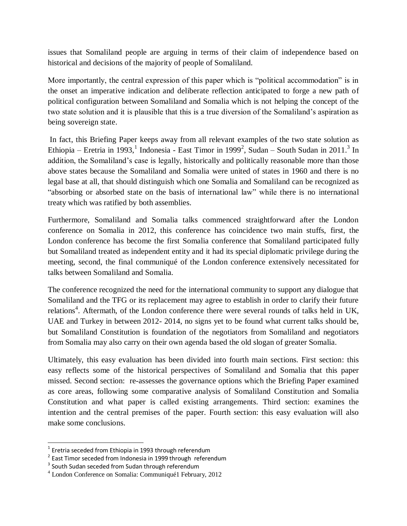issues that Somaliland people are arguing in terms of their claim of independence based on historical and decisions of the majority of people of Somaliland.

More importantly, the central expression of this paper which is "political accommodation" is in the onset an imperative indication and deliberate reflection anticipated to forge a new path of political configuration between Somaliland and Somalia which is not helping the concept of the two state solution and it is plausible that this is a true diversion of the Somaliland's aspiration as being sovereign state.

In fact, this Briefing Paper keeps away from all relevant examples of the two state solution as Ethiopia – Eretria in 1993, <sup>1</sup> Indonesia - East Timor in 1999<sup>2</sup>, Sudan – South Sudan in 2011.<sup>3</sup> In addition, the Somaliland's case is legally, historically and politically reasonable more than those above states because the Somaliland and Somalia were united of states in 1960 and there is no legal base at all, that should distinguish which one Somalia and Somaliland can be recognized as "absorbing or absorbed state on the basis of international law" while there is no international treaty which was ratified by both assemblies.

Furthermore, Somaliland and Somalia talks commenced straightforward after the London conference on Somalia in 2012, this conference has coincidence two main stuffs, first, the London conference has become the first Somalia conference that Somaliland participated fully but Somaliland treated as independent entity and it had its special diplomatic privilege during the meeting, second, the final communiqué of the London conference extensively necessitated for talks between Somaliland and Somalia.

The conference recognized the need for the international community to support any dialogue that Somaliland and the TFG or its replacement may agree to establish in order to clarify their future relations<sup>4</sup>. Aftermath, of the London conference there were several rounds of talks held in UK, UAE and Turkey in between 2012- 2014, no signs yet to be found what current talks should be, but Somaliland Constitution is foundation of the negotiators from Somaliland and negotiators from Somalia may also carry on their own agenda based the old slogan of greater Somalia.

Ultimately, this easy evaluation has been divided into fourth main sections. First section: this easy reflects some of the historical perspectives of Somaliland and Somalia that this paper missed. Second section: re-assesses the governance options which the Briefing Paper examined as core areas, following some comparative analysis of Somaliland Constitution and Somalia Constitution and what paper is called existing arrangements. Third section: examines the intention and the central premises of the paper. Fourth section: this easy evaluation will also make some conclusions.

 1 Eretria seceded from Ethiopia in 1993 through referendum

 $2$  East Timor seceded from Indonesia in 1999 through referendum

 $3$  South Sudan seceded from Sudan through referendum

<sup>4</sup> London Conference on Somalia: Communiqué1 February, 2012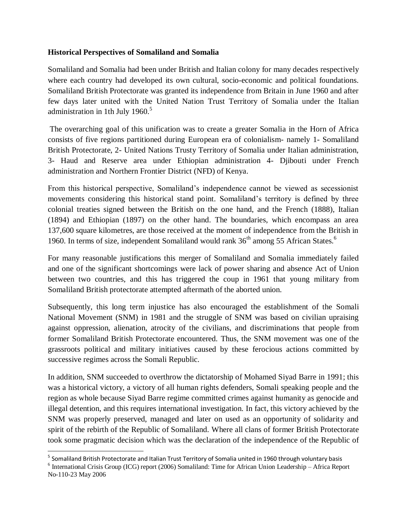### **Historical Perspectives of Somaliland and Somalia**

Somaliland and Somalia had been under British and Italian colony for many decades respectively where each country had developed its own cultural, socio-economic and political foundations. Somaliland British Protectorate was granted its independence from Britain in June 1960 and after few days later united with the United Nation Trust Territory of Somalia under the Italian administration in 1th July 1960. $5$ 

The overarching goal of this unification was to create a greater Somalia in the Horn of Africa consists of five regions partitioned during European era of colonialism- namely 1- Somaliland British Protectorate, 2- United Nations Trusty Territory of Somalia under Italian administration, 3- Haud and Reserve area under Ethiopian administration 4- Djibouti under French administration and Northern Frontier District (NFD) of Kenya.

From this historical perspective, Somaliland's independence cannot be viewed as secessionist movements considering this historical stand point. Somaliland's territory is defined by three colonial treaties signed between the British on the one hand, and the French (1888), Italian (1894) and Ethiopian (1897) on the other hand. The boundaries, which encompass an area 137,600 square kilometres, are those received at the moment of independence from the British in 1960. In terms of size, independent Somaliland would rank  $36<sup>th</sup>$  among 55 African States.<sup>6</sup>

For many reasonable justifications this merger of Somaliland and Somalia immediately failed and one of the significant shortcomings were lack of power sharing and absence Act of Union between two countries, and this has triggered the coup in 1961 that young military from Somaliland British protectorate attempted aftermath of the aborted union.

Subsequently, this long term injustice has also encouraged the establishment of the Somali National Movement (SNM) in 1981 and the struggle of SNM was based on civilian upraising against oppression, alienation, atrocity of the civilians, and discriminations that people from former Somaliland British Protectorate encountered. Thus, the SNM movement was one of the grassroots political and military initiatives caused by these ferocious actions committed by successive regimes across the Somali Republic.

In addition, SNM succeeded to overthrow the dictatorship of Mohamed Siyad Barre in 1991; this was a historical victory, a victory of all human rights defenders, Somali speaking people and the region as whole because Siyad Barre regime committed crimes against humanity as genocide and illegal detention, and this requires international investigation. In fact, this victory achieved by the SNM was properly preserved, managed and later on used as an opportunity of solidarity and spirit of the rebirth of the Republic of Somaliland. Where all clans of former British Protectorate took some pragmatic decision which was the declaration of the independence of the Republic of

 $\overline{a}$ 

<sup>&</sup>lt;sup>5</sup> Somaliland British Protectorate and Italian Trust Territory of Somalia united in 1960 through voluntary basis

<sup>&</sup>lt;sup>6</sup> International Crisis Group (ICG) report (2006) Somaliland: Time for African Union Leadership – Africa Report No-110-23 May 2006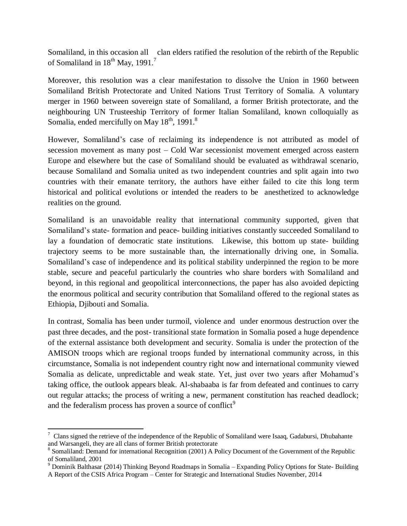Somaliland, in this occasion all clan elders ratified the resolution of the rebirth of the Republic of Somaliland in  $18^{th}$  May,  $1991<sup>7</sup>$ 

Moreover, this resolution was a clear manifestation to dissolve the Union in 1960 between Somaliland British Protectorate and United Nations Trust Territory of Somalia. A voluntary merger in 1960 between sovereign state of Somaliland, a former British protectorate, and the neighbouring UN Trusteeship Territory of former Italian Somaliland, known colloquially as Somalia, ended mercifully on May 18<sup>th</sup>, 1991.<sup>8</sup>

However, Somaliland's case of reclaiming its independence is not attributed as model of secession movement as many post – Cold War secessionist movement emerged across eastern Europe and elsewhere but the case of Somaliland should be evaluated as withdrawal scenario, because Somaliland and Somalia united as two independent countries and split again into two countries with their emanate territory, the authors have either failed to cite this long term historical and political evolutions or intended the readers to be anesthetized to acknowledge realities on the ground.

Somaliland is an unavoidable reality that international community supported, given that Somaliland's state- formation and peace- building initiatives constantly succeeded Somaliland to lay a foundation of democratic state institutions. Likewise, this bottom up state- building trajectory seems to be more sustainable than, the internationally driving one, in Somalia. Somaliland's case of independence and its political stability underpinned the region to be more stable, secure and peaceful particularly the countries who share borders with Somaliland and beyond, in this regional and geopolitical interconnections, the paper has also avoided depicting the enormous political and security contribution that Somaliland offered to the regional states as Ethiopia, Djibouti and Somalia.

In contrast, Somalia has been under turmoil, violence and under enormous destruction over the past three decades, and the post- transitional state formation in Somalia posed a huge dependence of the external assistance both development and security. Somalia is under the protection of the AMISON troops which are regional troops funded by international community across, in this circumstance, Somalia is not independent country right now and international community viewed Somalia as delicate, unpredictable and weak state. Yet, just over two years after Mohamud's taking office, the outlook appears bleak. Al-shabaaba is far from defeated and continues to carry out regular attacks; the process of writing a new, permanent constitution has reached deadlock; and the federalism process has proven a source of conflict<sup>9</sup>

 $\overline{\phantom{a}}$  $^7$  Clans signed the retrieve of the independence of the Republic of Somaliland were Isaaq, Gadabursi, Dhubahante and Warsangeli, they are all clans of former British protectorate

<sup>&</sup>lt;sup>8</sup> Somaliland: Demand for international Recognition (2001) A Policy Document of the Government of the Republic of Somaliland, 2001

<sup>9</sup> Dominik Balthasar (2014) Thinking Beyond Roadmaps in Somalia – Expanding Policy Options for State- Building A Report of the CSIS Africa Program – Center for Strategic and International Studies November, 2014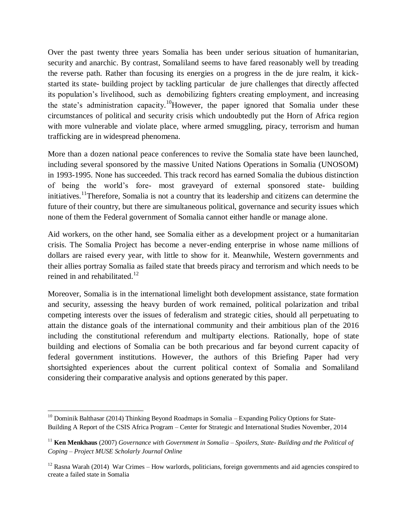Over the past twenty three years Somalia has been under serious situation of humanitarian, security and anarchic. By contrast, Somaliland seems to have fared reasonably well by treading the reverse path. Rather than focusing its energies on a progress in the de jure realm, it kickstarted its state- building project by tackling particular de jure challenges that directly affected its population's livelihood, such as demobilizing fighters creating employment, and increasing the state's administration capacity.<sup>10</sup>However, the paper ignored that Somalia under these circumstances of political and security crisis which undoubtedly put the Horn of Africa region with more vulnerable and violate place, where armed smuggling, piracy, terrorism and human trafficking are in widespread phenomena.

More than a dozen national peace conferences to revive the Somalia state have been launched, including several sponsored by the massive United Nations Operations in Somalia (UNOSOM) in 1993-1995. None has succeeded. This track record has earned Somalia the dubious distinction of being the world's fore- most graveyard of external sponsored state- building initiatives.<sup>11</sup>Therefore, Somalia is not a country that its leadership and citizens can determine the future of their country, but there are simultaneous political, governance and security issues which none of them the Federal government of Somalia cannot either handle or manage alone.

Aid workers, on the other hand, see Somalia either as a development project or a humanitarian crisis. The Somalia Project has become a never-ending enterprise in whose name millions of dollars are raised every year, with little to show for it. Meanwhile, Western governments and their allies portray Somalia as failed state that breeds piracy and terrorism and which needs to be reined in and rehabilitated.<sup>12</sup>

Moreover, Somalia is in the international limelight both development assistance, state formation and security, assessing the heavy burden of work remained, political polarization and tribal competing interests over the issues of federalism and strategic cities, should all perpetuating to attain the distance goals of the international community and their ambitious plan of the 2016 including the constitutional referendum and multiparty elections. Rationally, hope of state building and elections of Somalia can be both precarious and far beyond current capacity of federal government institutions. However, the authors of this Briefing Paper had very shortsighted experiences about the current political context of Somalia and Somaliland considering their comparative analysis and options generated by this paper.

 $\overline{a}$ <sup>10</sup> Dominik Balthasar (2014) Thinking Beyond Roadmaps in Somalia – Expanding Policy Options for State-Building A Report of the CSIS Africa Program – Center for Strategic and International Studies November, 2014

<sup>11</sup> **Ken Menkhaus** (2007) *Governance with Government in Somalia – Spoilers, State- Building and the Political of Coping – Project MUSE Scholarly Journal Online* 

 $12$  Rasna Warah (2014) War Crimes – How warlords, politicians, foreign governments and aid agencies conspired to create a failed state in Somalia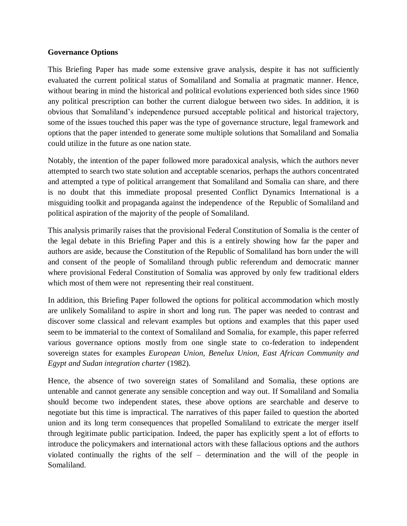### **Governance Options**

This Briefing Paper has made some extensive grave analysis, despite it has not sufficiently evaluated the current political status of Somaliland and Somalia at pragmatic manner. Hence, without bearing in mind the historical and political evolutions experienced both sides since 1960 any political prescription can bother the current dialogue between two sides. In addition, it is obvious that Somaliland's independence pursued acceptable political and historical trajectory, some of the issues touched this paper was the type of governance structure, legal framework and options that the paper intended to generate some multiple solutions that Somaliland and Somalia could utilize in the future as one nation state.

Notably, the intention of the paper followed more paradoxical analysis, which the authors never attempted to search two state solution and acceptable scenarios, perhaps the authors concentrated and attempted a type of political arrangement that Somaliland and Somalia can share, and there is no doubt that this immediate proposal presented Conflict Dynamics International is a misguiding toolkit and propaganda against the independence of the Republic of Somaliland and political aspiration of the majority of the people of Somaliland.

This analysis primarily raises that the provisional Federal Constitution of Somalia is the center of the legal debate in this Briefing Paper and this is a entirely showing how far the paper and authors are aside, because the Constitution of the Republic of Somaliland has born under the will and consent of the people of Somaliland through public referendum and democratic manner where provisional Federal Constitution of Somalia was approved by only few traditional elders which most of them were not representing their real constituent.

In addition, this Briefing Paper followed the options for political accommodation which mostly are unlikely Somaliland to aspire in short and long run. The paper was needed to contrast and discover some classical and relevant examples but options and examples that this paper used seem to be immaterial to the context of Somaliland and Somalia, for example, this paper referred various governance options mostly from one single state to co-federation to independent sovereign states for examples *European Union, Benelux Union, East African Community and Egypt and Sudan integration charter* (1982).

Hence, the absence of two sovereign states of Somaliland and Somalia, these options are untenable and cannot generate any sensible conception and way out. If Somaliland and Somalia should become two independent states, these above options are searchable and deserve to negotiate but this time is impractical. The narratives of this paper failed to question the aborted union and its long term consequences that propelled Somaliland to extricate the merger itself through legitimate public participation. Indeed, the paper has explicitly spent a lot of efforts to introduce the policymakers and international actors with these fallacious options and the authors violated continually the rights of the self – determination and the will of the people in Somaliland.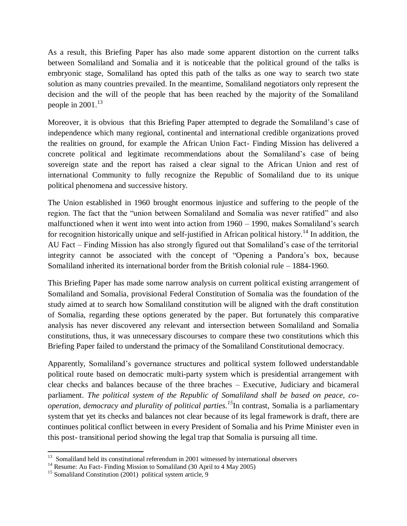As a result, this Briefing Paper has also made some apparent distortion on the current talks between Somaliland and Somalia and it is noticeable that the political ground of the talks is embryonic stage, Somaliland has opted this path of the talks as one way to search two state solution as many countries prevailed. In the meantime, Somaliland negotiators only represent the decision and the will of the people that has been reached by the majority of the Somaliland people in  $2001$ .<sup>13</sup>

Moreover, it is obvious that this Briefing Paper attempted to degrade the Somaliland's case of independence which many regional, continental and international credible organizations proved the realities on ground, for example the African Union Fact- Finding Mission has delivered a concrete political and legitimate recommendations about the Somaliland's case of being sovereign state and the report has raised a clear signal to the African Union and rest of international Community to fully recognize the Republic of Somaliland due to its unique political phenomena and successive history.

The Union established in 1960 brought enormous injustice and suffering to the people of the region. The fact that the "union between Somaliland and Somalia was never ratified" and also malfunctioned when it went into went into action from 1960 – 1990, makes Somaliland's search for recognition historically unique and self-justified in African political history.<sup>14</sup> In addition, the AU Fact – Finding Mission has also strongly figured out that Somaliland's case of the territorial integrity cannot be associated with the concept of "Opening a Pandora's box, because Somaliland inherited its international border from the British colonial rule – 1884-1960.

This Briefing Paper has made some narrow analysis on current political existing arrangement of Somaliland and Somalia, provisional Federal Constitution of Somalia was the foundation of the study aimed at to search how Somaliland constitution will be aligned with the draft constitution of Somalia, regarding these options generated by the paper. But fortunately this comparative analysis has never discovered any relevant and intersection between Somaliland and Somalia constitutions, thus, it was unnecessary discourses to compare these two constitutions which this Briefing Paper failed to understand the primacy of the Somaliland Constitutional democracy.

Apparently, Somaliland's governance structures and political system followed understandable political route based on democratic multi-party system which is presidential arrangement with clear checks and balances because of the three braches – Executive, Judiciary and bicameral parliament. *The political system of the Republic of Somaliland shall be based on peace, cooperation, democracy and plurality of political parties. <sup>15</sup>*In contrast, Somalia is a parliamentary system that yet its checks and balances not clear because of its legal framework is draft, there are continues political conflict between in every President of Somalia and his Prime Minister even in this post- transitional period showing the legal trap that Somalia is pursuing all time.

 13 Somaliland held its constitutional referendum in 2001 witnessed by international observers

<sup>&</sup>lt;sup>14</sup> Resume: Au Fact- Finding Mission to Somaliland (30 April to 4 May 2005)

<sup>&</sup>lt;sup>15</sup> Somaliland Constitution (2001) political system article, 9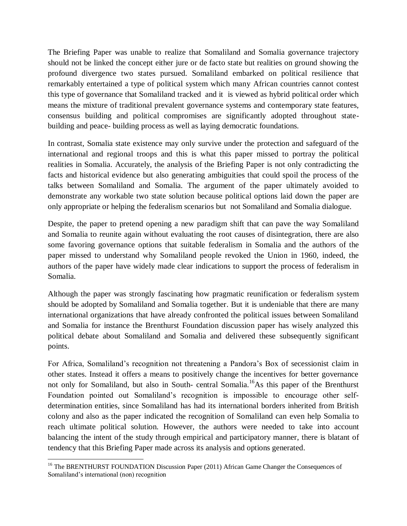The Briefing Paper was unable to realize that Somaliland and Somalia governance trajectory should not be linked the concept either jure or de facto state but realities on ground showing the profound divergence two states pursued. Somaliland embarked on political resilience that remarkably entertained a type of political system which many African countries cannot contest this type of governance that Somaliland tracked and it is viewed as hybrid political order which means the mixture of traditional prevalent governance systems and contemporary state features, consensus building and political compromises are significantly adopted throughout statebuilding and peace- building process as well as laying democratic foundations.

In contrast, Somalia state existence may only survive under the protection and safeguard of the international and regional troops and this is what this paper missed to portray the political realities in Somalia. Accurately, the analysis of the Briefing Paper is not only contradicting the facts and historical evidence but also generating ambiguities that could spoil the process of the talks between Somaliland and Somalia. The argument of the paper ultimately avoided to demonstrate any workable two state solution because political options laid down the paper are only appropriate or helping the federalism scenarios but not Somaliland and Somalia dialogue.

Despite, the paper to pretend opening a new paradigm shift that can pave the way Somaliland and Somalia to reunite again without evaluating the root causes of disintegration, there are also some favoring governance options that suitable federalism in Somalia and the authors of the paper missed to understand why Somaliland people revoked the Union in 1960, indeed, the authors of the paper have widely made clear indications to support the process of federalism in Somalia.

Although the paper was strongly fascinating how pragmatic reunification or federalism system should be adopted by Somaliland and Somalia together. But it is undeniable that there are many international organizations that have already confronted the political issues between Somaliland and Somalia for instance the Brenthurst Foundation discussion paper has wisely analyzed this political debate about Somaliland and Somalia and delivered these subsequently significant points.

For Africa, Somaliland's recognition not threatening a Pandora's Box of secessionist claim in other states. Instead it offers a means to positively change the incentives for better governance not only for Somaliland, but also in South- central Somalia.<sup>16</sup>As this paper of the Brenthurst Foundation pointed out Somaliland's recognition is impossible to encourage other selfdetermination entities, since Somaliland has had its international borders inherited from British colony and also as the paper indicated the recognition of Somaliland can even help Somalia to reach ultimate political solution. However, the authors were needed to take into account balancing the intent of the study through empirical and participatory manner, there is blatant of tendency that this Briefing Paper made across its analysis and options generated.

 $\overline{a}$ <sup>16</sup> The BRENTHURST FOUNDATION Discussion Paper (2011) African Game Changer the Consequences of Somaliland's international (non) recognition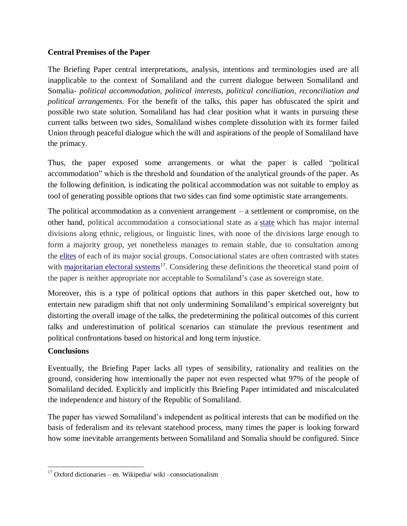## **Central Premises of the Paper**

The Briefing Paper central interpretations, analysis, intentions and terminologies used are all inapplicable to the context of Somaliland and the current dialogue between Somaliland and Somalia- *political accommodation, political interests, political conciliation, reconciliation and political arrangements.* For the benefit of the talks, this paper has obfuscated the spirit and possible two state solution. Somaliland has had clear position what it wants in pursuing these current talks between two sides, Somaliland wishes complete dissolution with its former failed Union through peaceful dialogue which the will and aspirations of the people of Somaliland have the primacy.

Thus, the paper exposed some arrangements or what the paper is called "political accommodation" which is the threshold and foundation of the analytical grounds of the paper. As the following definition, is indicating the political accommodation was not suitable to employ as tool of generating possible options that two sides can find some optimistic state arrangements.

The political accommodation as a convenient arrangement – a settlement or compromise, on the other hand, political accommodation a consociational state as a [state](http://en.wikipedia.org/wiki/State_(polity)) which has major internal divisions along ethnic, religious, or linguistic lines, with none of the divisions large enough to form a majority group, yet nonetheless manages to remain stable, due to consultation among the [elites](http://en.wikipedia.org/wiki/Elite) of each of its major social groups. Consociational states are often contrasted with states with [majoritarian electoral systems](http://en.wikipedia.org/wiki/Majoritarian)<sup>17</sup>. Considering these definitions the theoretical stand point of the paper is neither appropriate nor acceptable to Somaliland's case as sovereign state.

Moreover, this is a type of political options that authors in this paper sketched out, how to entertain new paradigm shift that not only undermining Somaliland's empirical sovereignty but distorting the overall image of the talks, the predetermining the political outcomes of this current talks and underestimation of political scenarios can stimulate the previous resentment and political confrontations based on historical and long term injustice.

# **Conclusions**

Eventually, the Briefing Paper lacks all types of sensibility, rationality and realities on the ground, considering how intentionally the paper not even respected what 97% of the people of Somaliland decided. Explicitly and implicitly this Briefing Paper intimidated and miscalculated the independence and history of the Republic of Somaliland.

The paper has viewed Somaliland's independent as political interests that can be modified on the basis of federalism and its relevant statehood process, many times the paper is looking forward how some inevitable arrangements between Somaliland and Somalia should be configured. Since

 $\overline{\phantom{a}}$  $17$  Oxford dictionaries – en. Wikipedia/ wiki –consociationalism